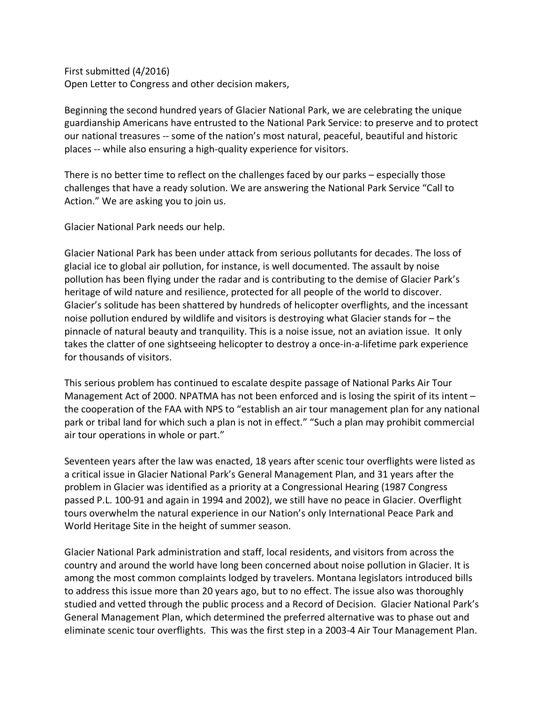First submitted (4/2016) Open Letter to Congress and other decision makers,

Beginning the second hundred years of Glacier National Park, we are celebrating the unique guardianship Americans have entrusted to the National Park Service: to preserve and to protect our national treasures -- some of the nation's most natural, peaceful, beautiful and historic places -- while also ensuring a high-quality experience for visitors.

There is no better time to reflect on the challenges faced by our parks – especially those challenges that have a ready solution. We are answering the National Park Service "Call to Action." We are asking you to join us.

Glacier National Park needs our help.

Glacier National Park has been under attack from serious pollutants for decades. The loss of glacial ice to global air pollution, for instance, is well documented. The assault by noise pollution has been flying under the radar and is contributing to the demise of Glacier Park's heritage of wild nature and resilience, protected for all people of the world to discover. Glacier's solitude has been shattered by hundreds of helicopter overflights, and the incessant noise pollution endured by wildlife and visitors is destroying what Glacier stands for – the pinnacle of natural beauty and tranquility. This is a noise issue, not an aviation issue. It only takes the clatter of one sightseeing helicopter to destroy a once-in-a-lifetime park experience for thousands of visitors.

This serious problem has continued to escalate despite passage of National Parks Air Tour Management Act of 2000. NPATMA has not been enforced and is losing the spirit of its intent – the cooperation of the FAA with NPS to "establish an air tour management plan for any national park or tribal land for which such a plan is not in effect." "Such a plan may prohibit commercial air tour operations in whole or part."

Seventeen years after the law was enacted, 18 years after scenic tour overflights were listed as a critical issue in Glacier National Park's General Management Plan, and 31 years after the problem in Glacier was identified as a priority at a Congressional Hearing (1987 Congress passed P.L. 100-91 and again in 1994 and 2002), we still have no peace in Glacier. Overflight tours overwhelm the natural experience in our Nation's only International Peace Park and World Heritage Site in the height of summer season.

Glacier National Park administration and staff, local residents, and visitors from across the country and around the world have long been concerned about noise pollution in Glacier. It is among the most common complaints lodged by travelers. Montana legislators introduced bills to address this issue more than 20 years ago, but to no effect. The issue also was thoroughly studied and vetted through the public process and a Record of Decision. Glacier National Park's General Management Plan, which determined the preferred alternative was to phase out and eliminate scenic tour overflights. This was the first step in a 2003-4 Air Tour Management Plan.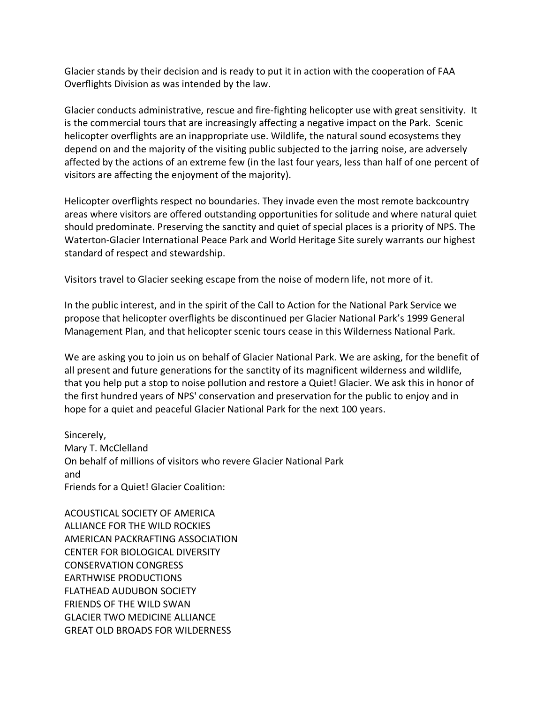Glacier stands by their decision and is ready to put it in action with the cooperation of FAA Overflights Division as was intended by the law.

Glacier conducts administrative, rescue and fire-fighting helicopter use with great sensitivity. It is the commercial tours that are increasingly affecting a negative impact on the Park. Scenic helicopter overflights are an inappropriate use. Wildlife, the natural sound ecosystems they depend on and the majority of the visiting public subjected to the jarring noise, are adversely affected by the actions of an extreme few (in the last four years, less than half of one percent of visitors are affecting the enjoyment of the majority).

Helicopter overflights respect no boundaries. They invade even the most remote backcountry areas where visitors are offered outstanding opportunities for solitude and where natural quiet should predominate. Preserving the sanctity and quiet of special places is a priority of NPS. The Waterton-Glacier International Peace Park and World Heritage Site surely warrants our highest standard of respect and stewardship.

Visitors travel to Glacier seeking escape from the noise of modern life, not more of it.

In the public interest, and in the spirit of the Call to Action for the National Park Service we propose that helicopter overflights be discontinued per Glacier National Park's 1999 General Management Plan, and that helicopter scenic tours cease in this Wilderness National Park.

We are asking you to join us on behalf of Glacier National Park. We are asking, for the benefit of all present and future generations for the sanctity of its magnificent wilderness and wildlife, that you help put a stop to noise pollution and restore a Quiet! Glacier. We ask this in honor of the first hundred years of NPS' conservation and preservation for the public to enjoy and in hope for a quiet and peaceful Glacier National Park for the next 100 years.

Sincerely, Mary T. McClelland On behalf of millions of visitors who revere Glacier National Park and Friends for a Quiet! Glacier Coalition:

ACOUSTICAL SOCIETY OF AMERICA ALLIANCE FOR THE WILD ROCKIES AMERICAN PACKRAFTING ASSOCIATION CENTER FOR BIOLOGICAL DIVERSITY CONSERVATION CONGRESS EARTHWISE PRODUCTIONS FLATHEAD AUDUBON SOCIETY FRIENDS OF THE WILD SWAN GLACIER TWO MEDICINE ALLIANCE GREAT OLD BROADS FOR WILDERNESS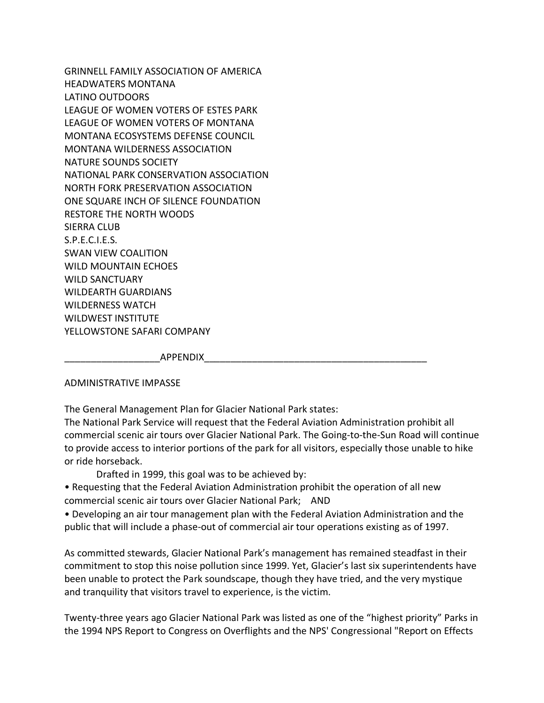GRINNELL FAMILY ASSOCIATION OF AMERICA HEADWATERS MONTANA LATINO OUTDOORS LEAGUE OF WOMEN VOTERS OF ESTES PARK LEAGUE OF WOMEN VOTERS OF MONTANA MONTANA ECOSYSTEMS DEFENSE COUNCIL MONTANA WILDERNESS ASSOCIATION NATURE SOUNDS SOCIETY NATIONAL PARK CONSERVATION ASSOCIATION NORTH FORK PRESERVATION ASSOCIATION ONE SQUARE INCH OF SILENCE FOUNDATION RESTORE THE NORTH WOODS SIERRA CLUB S.P.E.C.I.E.S. SWAN VIEW COALITION WILD MOUNTAIN ECHOES WILD SANCTUARY WILDEARTH GUARDIANS WILDERNESS WATCH WILDWEST INSTITUTE YELLOWSTONE SAFARI COMPANY

 $APPENDIX$ 

#### ADMINISTRATIVE IMPASSE

The General Management Plan for Glacier National Park states:

The National Park Service will request that the Federal Aviation Administration prohibit all commercial scenic air tours over Glacier National Park. The Going-to-the-Sun Road will continue to provide access to interior portions of the park for all visitors, especially those unable to hike or ride horseback.

Drafted in 1999, this goal was to be achieved by:

• Requesting that the Federal Aviation Administration prohibit the operation of all new commercial scenic air tours over Glacier National Park; AND

• Developing an air tour management plan with the Federal Aviation Administration and the public that will include a phase-out of commercial air tour operations existing as of 1997.

As committed stewards, Glacier National Park's management has remained steadfast in their commitment to stop this noise pollution since 1999. Yet, Glacier's last six superintendents have been unable to protect the Park soundscape, though they have tried, and the very mystique and tranquility that visitors travel to experience, is the victim.

Twenty-three years ago Glacier National Park was listed as one of the "highest priority" Parks in the 1994 NPS Report to Congress on Overflights and the NPS' Congressional "Report on Effects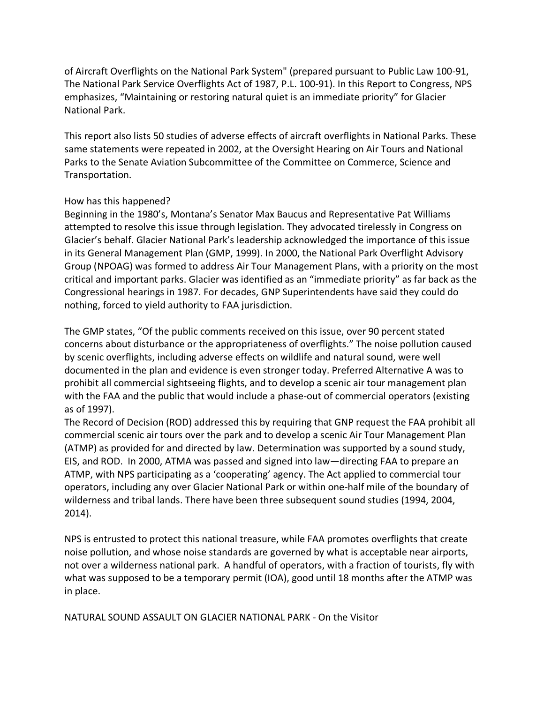of Aircraft Overflights on the National Park System" (prepared pursuant to Public Law 100-91, The National Park Service Overflights Act of 1987, P.L. 100-91). In this Report to Congress, NPS emphasizes, "Maintaining or restoring natural quiet is an immediate priority" for Glacier National Park.

This report also lists 50 studies of adverse effects of aircraft overflights in National Parks. These same statements were repeated in 2002, at the Oversight Hearing on Air Tours and National Parks to the Senate Aviation Subcommittee of the Committee on Commerce, Science and Transportation.

# How has this happened?

Beginning in the 1980's, Montana's Senator Max Baucus and Representative Pat Williams attempted to resolve this issue through legislation. They advocated tirelessly in Congress on Glacier's behalf. Glacier National Park's leadership acknowledged the importance of this issue in its General Management Plan (GMP, 1999). In 2000, the National Park Overflight Advisory Group (NPOAG) was formed to address Air Tour Management Plans, with a priority on the most critical and important parks. Glacier was identified as an "immediate priority" as far back as the Congressional hearings in 1987. For decades, GNP Superintendents have said they could do nothing, forced to yield authority to FAA jurisdiction.

The GMP states, "Of the public comments received on this issue, over 90 percent stated concerns about disturbance or the appropriateness of overflights." The noise pollution caused by scenic overflights, including adverse effects on wildlife and natural sound, were well documented in the plan and evidence is even stronger today. Preferred Alternative A was to prohibit all commercial sightseeing flights, and to develop a scenic air tour management plan with the FAA and the public that would include a phase-out of commercial operators (existing as of 1997).

The Record of Decision (ROD) addressed this by requiring that GNP request the FAA prohibit all commercial scenic air tours over the park and to develop a scenic Air Tour Management Plan (ATMP) as provided for and directed by law. Determination was supported by a sound study, EIS, and ROD. In 2000, ATMA was passed and signed into law—directing FAA to prepare an ATMP, with NPS participating as a 'cooperating' agency. The Act applied to commercial tour operators, including any over Glacier National Park or within one-half mile of the boundary of wilderness and tribal lands. There have been three subsequent sound studies (1994, 2004, 2014).

NPS is entrusted to protect this national treasure, while FAA promotes overflights that create noise pollution, and whose noise standards are governed by what is acceptable near airports, not over a wilderness national park. A handful of operators, with a fraction of tourists, fly with what was supposed to be a temporary permit (IOA), good until 18 months after the ATMP was in place.

NATURAL SOUND ASSAULT ON GLACIER NATIONAL PARK - On the Visitor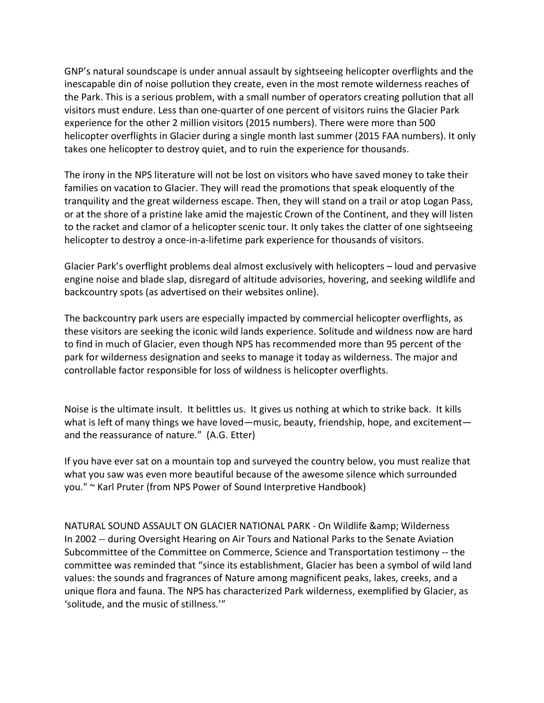GNP's natural soundscape is under annual assault by sightseeing helicopter overflights and the inescapable din of noise pollution they create, even in the most remote wilderness reaches of the Park. This is a serious problem, with a small number of operators creating pollution that all visitors must endure. Less than one-quarter of one percent of visitors ruins the Glacier Park experience for the other 2 million visitors (2015 numbers). There were more than 500 helicopter overflights in Glacier during a single month last summer (2015 FAA numbers). It only takes one helicopter to destroy quiet, and to ruin the experience for thousands.

The irony in the NPS literature will not be lost on visitors who have saved money to take their families on vacation to Glacier. They will read the promotions that speak eloquently of the tranquility and the great wilderness escape. Then, they will stand on a trail or atop Logan Pass, or at the shore of a pristine lake amid the majestic Crown of the Continent, and they will listen to the racket and clamor of a helicopter scenic tour. It only takes the clatter of one sightseeing helicopter to destroy a once-in-a-lifetime park experience for thousands of visitors.

Glacier Park's overflight problems deal almost exclusively with helicopters – loud and pervasive engine noise and blade slap, disregard of altitude advisories, hovering, and seeking wildlife and backcountry spots (as advertised on their websites online).

The backcountry park users are especially impacted by commercial helicopter overflights, as these visitors are seeking the iconic wild lands experience. Solitude and wildness now are hard to find in much of Glacier, even though NPS has recommended more than 95 percent of the park for wilderness designation and seeks to manage it today as wilderness. The major and controllable factor responsible for loss of wildness is helicopter overflights.

Noise is the ultimate insult. It belittles us. It gives us nothing at which to strike back. It kills what is left of many things we have loved—music, beauty, friendship, hope, and excitement and the reassurance of nature." (A.G. Etter)

If you have ever sat on a mountain top and surveyed the country below, you must realize that what you saw was even more beautiful because of the awesome silence which surrounded you." ~ Karl Pruter (from NPS Power of Sound Interpretive Handbook)

NATURAL SOUND ASSAULT ON GLACIER NATIONAL PARK - On Wildlife & amp; Wilderness In 2002 -- during Oversight Hearing on Air Tours and National Parks to the Senate Aviation Subcommittee of the Committee on Commerce, Science and Transportation testimony -- the committee was reminded that "since its establishment, Glacier has been a symbol of wild land values: the sounds and fragrances of Nature among magnificent peaks, lakes, creeks, and a unique flora and fauna. The NPS has characterized Park wilderness, exemplified by Glacier, as 'solitude, and the music of stillness.'"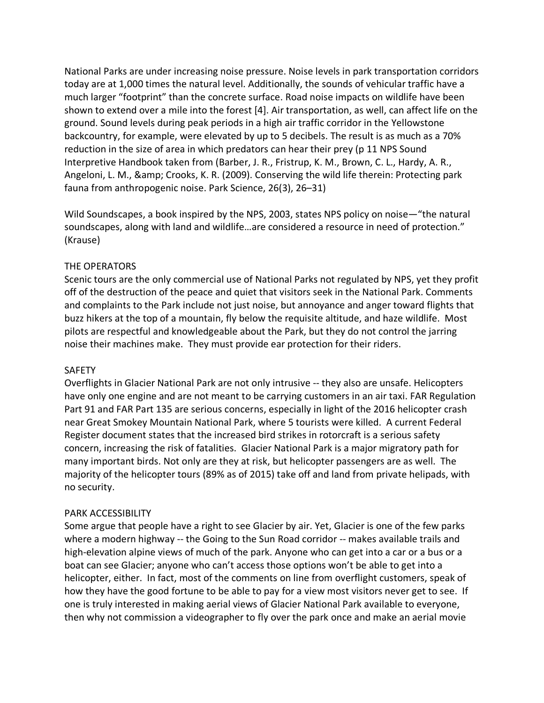National Parks are under increasing noise pressure. Noise levels in park transportation corridors today are at 1,000 times the natural level. Additionally, the sounds of vehicular traffic have a much larger "footprint" than the concrete surface. Road noise impacts on wildlife have been shown to extend over a mile into the forest [4]. Air transportation, as well, can affect life on the ground. Sound levels during peak periods in a high air traffic corridor in the Yellowstone backcountry, for example, were elevated by up to 5 decibels. The result is as much as a 70% reduction in the size of area in which predators can hear their prey (p 11 NPS Sound Interpretive Handbook taken from (Barber, J. R., Fristrup, K. M., Brown, C. L., Hardy, A. R., Angeloni, L. M., & amp; Crooks, K. R. (2009). Conserving the wild life therein: Protecting park fauna from anthropogenic noise. Park Science, 26(3), 26–31)

Wild Soundscapes, a book inspired by the NPS, 2003, states NPS policy on noise—"the natural soundscapes, along with land and wildlife…are considered a resource in need of protection." (Krause)

## THE OPERATORS

Scenic tours are the only commercial use of National Parks not regulated by NPS, yet they profit off of the destruction of the peace and quiet that visitors seek in the National Park. Comments and complaints to the Park include not just noise, but annoyance and anger toward flights that buzz hikers at the top of a mountain, fly below the requisite altitude, and haze wildlife. Most pilots are respectful and knowledgeable about the Park, but they do not control the jarring noise their machines make. They must provide ear protection for their riders.

#### SAFETY

Overflights in Glacier National Park are not only intrusive -- they also are unsafe. Helicopters have only one engine and are not meant to be carrying customers in an air taxi. FAR Regulation Part 91 and FAR Part 135 are serious concerns, especially in light of the 2016 helicopter crash near Great Smokey Mountain National Park, where 5 tourists were killed. A current Federal Register document states that the increased bird strikes in rotorcraft is a serious safety concern, increasing the risk of fatalities. Glacier National Park is a major migratory path for many important birds. Not only are they at risk, but helicopter passengers are as well. The majority of the helicopter tours (89% as of 2015) take off and land from private helipads, with no security.

#### PARK ACCESSIBILITY

Some argue that people have a right to see Glacier by air. Yet, Glacier is one of the few parks where a modern highway -- the Going to the Sun Road corridor -- makes available trails and high-elevation alpine views of much of the park. Anyone who can get into a car or a bus or a boat can see Glacier; anyone who can't access those options won't be able to get into a helicopter, either. In fact, most of the comments on line from overflight customers, speak of how they have the good fortune to be able to pay for a view most visitors never get to see. If one is truly interested in making aerial views of Glacier National Park available to everyone, then why not commission a videographer to fly over the park once and make an aerial movie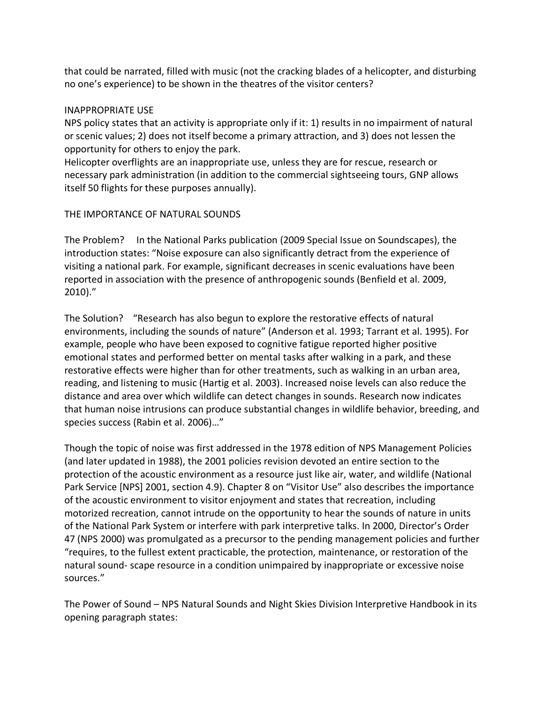that could be narrated, filled with music (not the cracking blades of a helicopter, and disturbing no one's experience) to be shown in the theatres of the visitor centers?

## INAPPROPRIATE USE

NPS policy states that an activity is appropriate only if it: 1) results in no impairment of natural or scenic values; 2) does not itself become a primary attraction, and 3) does not lessen the opportunity for others to enjoy the park.

Helicopter overflights are an inappropriate use, unless they are for rescue, research or necessary park administration (in addition to the commercial sightseeing tours, GNP allows itself 50 flights for these purposes annually).

## THE IMPORTANCE OF NATURAL SOUNDS

The Problem? In the National Parks publication (2009 Special Issue on Soundscapes), the introduction states: "Noise exposure can also significantly detract from the experience of visiting a national park. For example, significant decreases in scenic evaluations have been reported in association with the presence of anthropogenic sounds (Benfield et al. 2009, 2010)."

The Solution? "Research has also begun to explore the restorative effects of natural environments, including the sounds of nature" (Anderson et al. 1993; Tarrant et al. 1995). For example, people who have been exposed to cognitive fatigue reported higher positive emotional states and performed better on mental tasks after walking in a park, and these restorative effects were higher than for other treatments, such as walking in an urban area, reading, and listening to music (Hartig et al. 2003). Increased noise levels can also reduce the distance and area over which wildlife can detect changes in sounds. Research now indicates that human noise intrusions can produce substantial changes in wildlife behavior, breeding, and species success (Rabin et al. 2006)…"

Though the topic of noise was first addressed in the 1978 edition of NPS Management Policies (and later updated in 1988), the 2001 policies revision devoted an entire section to the protection of the acoustic environment as a resource just like air, water, and wildlife (National Park Service [NPS] 2001, section 4.9). Chapter 8 on "Visitor Use" also describes the importance of the acoustic environment to visitor enjoyment and states that recreation, including motorized recreation, cannot intrude on the opportunity to hear the sounds of nature in units of the National Park System or interfere with park interpretive talks. In 2000, Director's Order 47 (NPS 2000) was promulgated as a precursor to the pending management policies and further "requires, to the fullest extent practicable, the protection, maintenance, or restoration of the natural sound- scape resource in a condition unimpaired by inappropriate or excessive noise sources."

The Power of Sound – NPS Natural Sounds and Night Skies Division Interpretive Handbook in its opening paragraph states: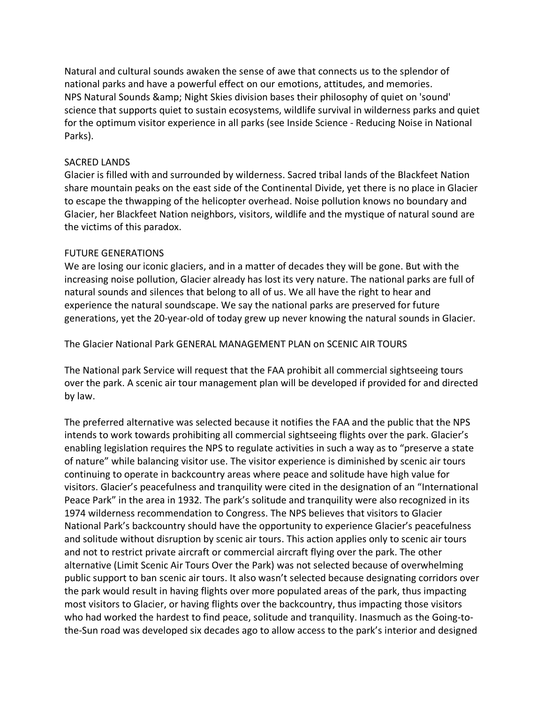Natural and cultural sounds awaken the sense of awe that connects us to the splendor of national parks and have a powerful effect on our emotions, attitudes, and memories. NPS Natural Sounds & amp; Night Skies division bases their philosophy of quiet on 'sound' science that supports quiet to sustain ecosystems, wildlife survival in wilderness parks and quiet for the optimum visitor experience in all parks (see Inside Science - Reducing Noise in National Parks).

## SACRED LANDS

Glacier is filled with and surrounded by wilderness. Sacred tribal lands of the Blackfeet Nation share mountain peaks on the east side of the Continental Divide, yet there is no place in Glacier to escape the thwapping of the helicopter overhead. Noise pollution knows no boundary and Glacier, her Blackfeet Nation neighbors, visitors, wildlife and the mystique of natural sound are the victims of this paradox.

## FUTURE GENERATIONS

We are losing our iconic glaciers, and in a matter of decades they will be gone. But with the increasing noise pollution, Glacier already has lost its very nature. The national parks are full of natural sounds and silences that belong to all of us. We all have the right to hear and experience the natural soundscape. We say the national parks are preserved for future generations, yet the 20-year-old of today grew up never knowing the natural sounds in Glacier.

The Glacier National Park GENERAL MANAGEMENT PLAN on SCENIC AIR TOURS

The National park Service will request that the FAA prohibit all commercial sightseeing tours over the park. A scenic air tour management plan will be developed if provided for and directed by law.

The preferred alternative was selected because it notifies the FAA and the public that the NPS intends to work towards prohibiting all commercial sightseeing flights over the park. Glacier's enabling legislation requires the NPS to regulate activities in such a way as to "preserve a state of nature" while balancing visitor use. The visitor experience is diminished by scenic air tours continuing to operate in backcountry areas where peace and solitude have high value for visitors. Glacier's peacefulness and tranquility were cited in the designation of an "International Peace Park" in the area in 1932. The park's solitude and tranquility were also recognized in its 1974 wilderness recommendation to Congress. The NPS believes that visitors to Glacier National Park's backcountry should have the opportunity to experience Glacier's peacefulness and solitude without disruption by scenic air tours. This action applies only to scenic air tours and not to restrict private aircraft or commercial aircraft flying over the park. The other alternative (Limit Scenic Air Tours Over the Park) was not selected because of overwhelming public support to ban scenic air tours. It also wasn't selected because designating corridors over the park would result in having flights over more populated areas of the park, thus impacting most visitors to Glacier, or having flights over the backcountry, thus impacting those visitors who had worked the hardest to find peace, solitude and tranquility. Inasmuch as the Going-tothe-Sun road was developed six decades ago to allow access to the park's interior and designed